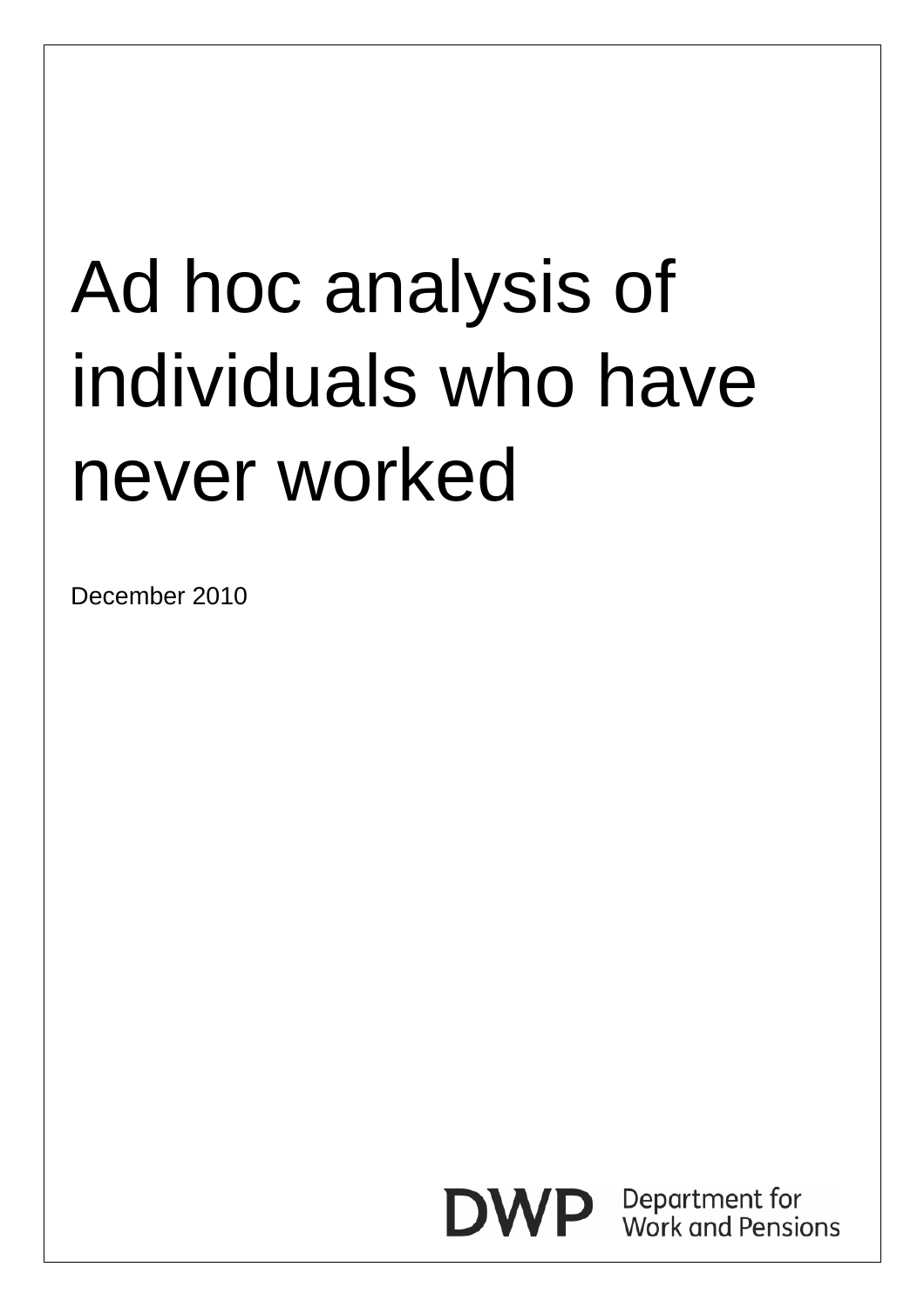# Ad hoc analysis of individuals who have never worked

December 2010

**DWP** Department for<br>Work and Pensions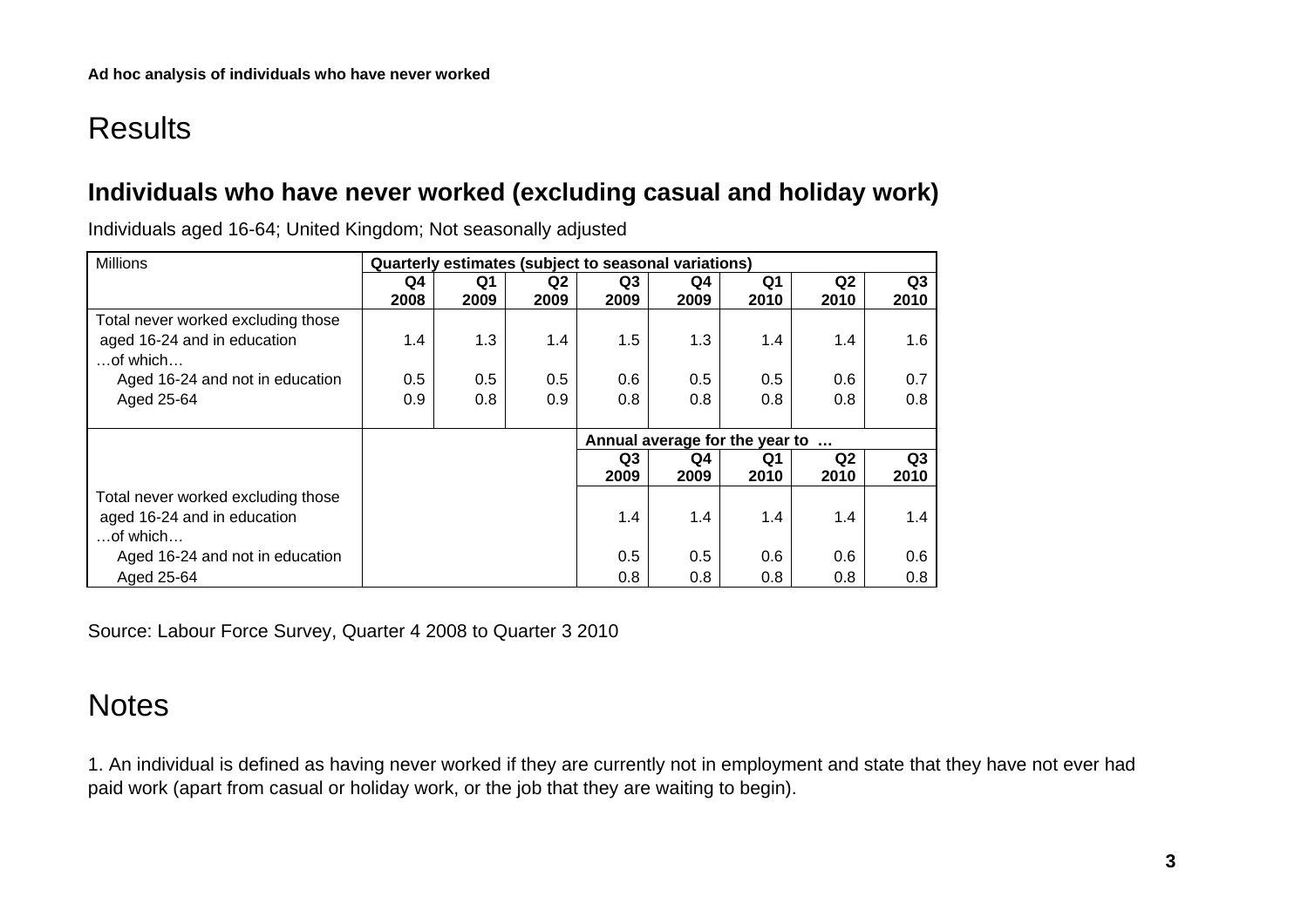# **Results**

### **Individuals who have never worked (excluding casual and holiday work)**

| <b>Millions</b>                    | Quarterly estimates (subject to seasonal variations) |      |                |                                |      |                |                |                |
|------------------------------------|------------------------------------------------------|------|----------------|--------------------------------|------|----------------|----------------|----------------|
|                                    | Q4                                                   | Q1   | Q <sub>2</sub> | Q <sub>3</sub>                 | Q4   | Q <sub>1</sub> | Q <sub>2</sub> | Q <sub>3</sub> |
|                                    | 2008                                                 | 2009 | 2009           | 2009                           | 2009 | 2010           | 2010           | 2010           |
| Total never worked excluding those |                                                      |      |                |                                |      |                |                |                |
| aged 16-24 and in education        | 1.4                                                  | 1.3  | 1.4            | 1.5                            | 1.3  | 1.4            | 1.4            | 1.6            |
| $$ of which                        |                                                      |      |                |                                |      |                |                |                |
| Aged 16-24 and not in education    | 0.5                                                  | 0.5  | 0.5            | 0.6                            | 0.5  | 0.5            | 0.6            | 0.7            |
| Aged 25-64                         | 0.9                                                  | 0.8  | 0.9            | 0.8                            | 0.8  | 0.8            | 0.8            | 0.8            |
|                                    |                                                      |      |                |                                |      |                |                |                |
|                                    |                                                      |      |                | Annual average for the year to |      |                |                |                |
|                                    |                                                      |      |                | Q <sub>3</sub>                 | Q4   | Q1             | Q <sub>2</sub> | Q3             |
|                                    |                                                      |      |                | 2009                           | 2009 | 2010           | 2010           | 2010           |
| Total never worked excluding those |                                                      |      |                |                                |      |                |                |                |
| aged 16-24 and in education        |                                                      |      |                | 1.4                            | 1.4  | 1.4            | 1.4            | 1.4            |
| $$ of which                        |                                                      |      |                |                                |      |                |                |                |
| Aged 16-24 and not in education    |                                                      |      |                | 0.5                            | 0.5  | 0.6            | 0.6            | 0.6            |
| Aged 25-64                         |                                                      |      |                | 0.8                            | 0.8  | 0.8            | 0.8            | 0.8            |

Individuals aged 16-64; United Kingdom; Not seasonally adjusted

Source: Labour Force Survey, Quarter 4 2008 to Quarter 3 2010

## **Notes**

1. An individual is defined as having never worked if they are currently not in employment and state that they have not ever had paid work (apart from casual or holiday work, or the job that they are waiting to begin).